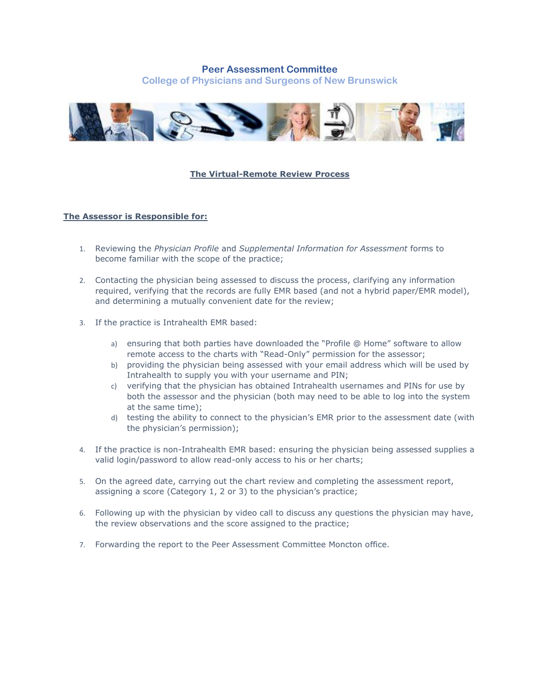# **Peer Assessment Committee**

**College of Physicians and Surgeons of New Brunswick**



## **The Virtual-Remote Review Process**

### **The Assessor is Responsible for:**

- 1. Reviewing the *Physician Profile* and *Supplemental Information for Assessment* forms to become familiar with the scope of the practice;
- 2. Contacting the physician being assessed to discuss the process, clarifying any information required, verifying that the records are fully EMR based (and not a hybrid paper/EMR model), and determining a mutually convenient date for the review;
- 3. If the practice is Intrahealth EMR based:
	- a) ensuring that both parties have downloaded the "Profile @ Home" software to allow remote access to the charts with "Read-Only" permission for the assessor;
	- b) providing the physician being assessed with your email address which will be used by Intrahealth to supply you with your username and PIN;
	- c) verifying that the physician has obtained Intrahealth usernames and PINs for use by both the assessor and the physician (both may need to be able to log into the system at the same time);
	- d) testing the ability to connect to the physician's EMR prior to the assessment date (with the physician's permission);
- 4. If the practice is non-Intrahealth EMR based: ensuring the physician being assessed supplies a valid login/password to allow read-only access to his or her charts;
- 5. On the agreed date, carrying out the chart review and completing the assessment report, assigning a score (Category 1, 2 or 3) to the physician's practice;
- 6. Following up with the physician by video call to discuss any questions the physician may have, the review observations and the score assigned to the practice;
- 7. Forwarding the report to the Peer Assessment Committee Moncton office.